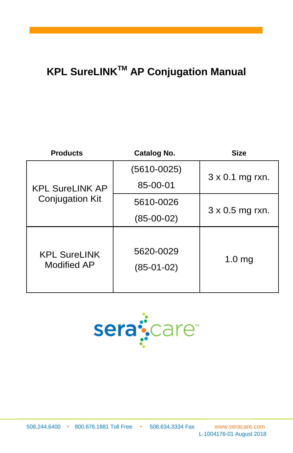# **KPL SureLINKTM AP Conjugation Manual**

| <b>Products</b>                                  | <b>Catalog No.</b>        | <b>Size</b>            |
|--------------------------------------------------|---------------------------|------------------------|
|                                                  | $(5610 - 0025)$           | 3 x 0.1 mg rxn.        |
| <b>KPL SureLINK AP</b><br><b>Conjugation Kit</b> | 85-00-01                  |                        |
|                                                  | 5610-0026                 | $3 \times 0.5$ mg rxn. |
|                                                  | $(85-00-02)$              |                        |
| <b>KPL SureLINK</b><br><b>Modified AP</b>        | 5620-0029<br>$(85-01-02)$ | 1.0 <sub>mg</sub>      |

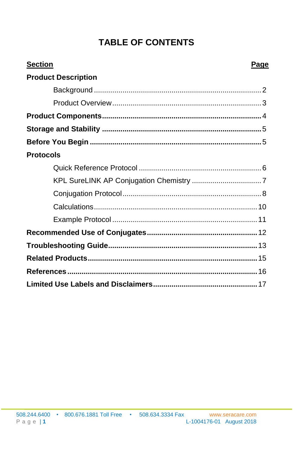## **TABLE OF CONTENTS**

| <b>Section</b><br>Page     |  |
|----------------------------|--|
| <b>Product Description</b> |  |
|                            |  |
|                            |  |
|                            |  |
|                            |  |
|                            |  |
| <b>Protocols</b>           |  |
|                            |  |
|                            |  |
|                            |  |
|                            |  |
|                            |  |
|                            |  |
|                            |  |
|                            |  |
|                            |  |
|                            |  |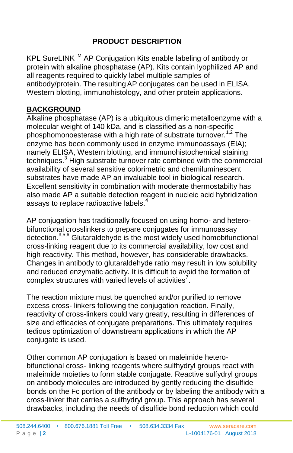## **PRODUCT DESCRIPTION**

KPL SureLINK™ AP Conjugation Kits enable labeling of antibody or protein with alkaline phosphatase (AP). Kits contain lyophilized AP and all reagents required to quickly label multiple samples of antibody/protein. The resultingAP conjugates can be used in ELISA, Western blotting, immunohistology, and other protein applications.

#### <span id="page-3-0"></span>**BACKGROUND**

Alkaline phosphatase (AP) is a ubiquitous dimeric metalloenzyme with a molecular weight of 140 kDa, and is classified as a non-specific phosphomonoesterase with a high rate of substrate turnover.<sup>1,2</sup> The enzyme has been commonly used in enzyme immunoassays (EIA); namely ELISA, Western blotting, and immunohistochemical staining techniques.<sup>3</sup> High substrate turnover rate combined with the commercial availability of several sensitive colorimetric and chemiluminescent substrates have made AP an invaluable tool in biological research. Excellent sensitivity in combination with moderate thermostabilty has also made AP a suitable detection reagent in nucleic acid hybridization assays to replace radioactive labels.<sup>4</sup>

AP conjugation has traditionally focused on using homo- and heterobifunctional crosslinkers to prepare conjugates for immunoassay detection.3,5,6 Glutaraldehyde is the most widely used homobifunctional cross-linking reagent due to its commercial availability, low cost and high reactivity. This method, however, has considerable drawbacks. Changes in antibody to glutaraldehyde ratio may result in low solubility and reduced enzymatic activity. It is difficult to avoid the formation of complex structures with varied levels of activities<sup>7</sup>.

The reaction mixture must be quenched and/or purified to remove excess cross- linkers following the conjugation reaction. Finally, reactivity of cross-linkers could vary greatly, resulting in differences of size and efficacies of conjugate preparations. This ultimately requires tedious optimization of downstream applications in which the AP conjugate is used.

Other common AP conjugation is based on maleimide heterobifunctional cross- linking reagents where sulfhydryl groups react with maleimide moieties to form stable conjugate. Reactive sulfydryl groups on antibody molecules are introduced by gently reducing the disulfide bonds on the Fc portion of the antibody or by labeling the antibody with a cross-linker that carries a sulfhydryl group. This approach has several drawbacks, including the needs of disulfide bond reduction which could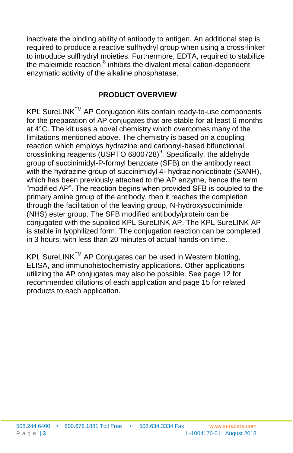inactivate the binding ability of antibody to antigen. An additional step is required to produce a reactive sulfhydryl group when using a cross-linker to introduce sulfhydryl moieties. Furthermore, EDTA, required to stabilize the maleimide reaction, $^8$  inhibits the divalent metal cation-dependent enzymatic activity of the alkaline phosphatase.

#### **PRODUCT OVERVIEW**

<span id="page-4-0"></span>KPL SureLINK™ AP Conjugation Kits contain ready-to-use components for the preparation of AP conjugates that are stable for at least 6 months at 4°C. The kit uses a novel chemistry which overcomes many of the limitations mentioned above. The chemistry is based on a coupling reaction which employs hydrazine and carbonyl-based bifunctional crosslinking reagents (USPTO 6800728)<sup>9</sup>. Specifically, the aldehyde group of succinimidyl-P-formyl benzoate (SFB) on the antibody react with the hydrazine group of succinimidyl 4- hydrazinonicotinate (SANH), which has been previously attached to the AP enzyme, hence the term "modified AP". The reaction begins when provided SFB is coupled to the primary amine group of the antibody, then it reaches the completion through the facilitation of the leaving group, N-hydroxysuccinimide (NHS) ester group. The SFB modified antibody/protein can be conjugated with the supplied KPL SureLINK AP. The KPL SureLINK AP is stable in lyophilized form. The conjugation reaction can be completed in 3 hours, with less than 20 minutes of actual hands-on time.

KPL SureLINK™ AP Conjugates can be used in Western blotting, ELISA, and immunohistochemistry applications. Other applications utilizing the AP conjugates may also be possible. See page 12 for recommended dilutions of each application and page 15 for related products to each application.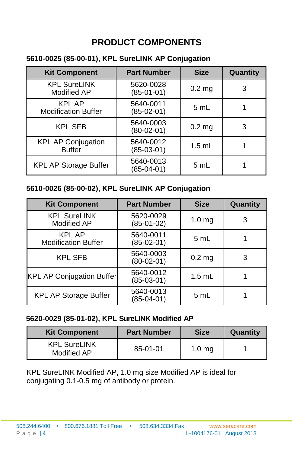## **PRODUCT COMPONENTS**

#### <span id="page-5-0"></span>**5610-0025 (85-00-01), KPL SureLINK AP Conjugation**

| <b>Part Number</b><br><b>Kit Component</b>  |                           | <b>Size</b>       | Quantity |
|---------------------------------------------|---------------------------|-------------------|----------|
| <b>KPL SureLINK</b><br>Modified AP          | 5620-0028<br>$(85-01-01)$ | $0.2$ mg          | 3        |
| <b>KPL AP</b><br><b>Modification Buffer</b> | 5640-0011<br>$(85-02-01)$ | 5 mL              |          |
| <b>KPL SFB</b>                              | 5640-0003<br>$(80-02-01)$ | 0.2 <sub>mg</sub> | 3        |
| <b>KPL AP Conjugation</b><br><b>Buffer</b>  | 5640-0012<br>$(85-03-01)$ | $1.5$ mL          |          |
| <b>KPL AP Storage Buffer</b>                | 5640-0013<br>$(85-04-01)$ | 5 mL              |          |

#### **5610-0026 (85-00-02), KPL SureLINK AP Conjugation**

| <b>Kit Component</b>                        | <b>Part Number</b>        | <b>Size</b>       | Quantity |
|---------------------------------------------|---------------------------|-------------------|----------|
| <b>KPL SureLINK</b><br>Modified AP          | 5620-0029<br>$(85-01-02)$ | 1.0 <sub>mg</sub> | 3        |
| <b>KPL AP</b><br><b>Modification Buffer</b> | 5640-0011<br>$(85-02-01)$ | 5 mL              |          |
| <b>KPL SFB</b>                              | 5640-0003<br>$(80-02-01)$ | $0.2$ mg          | 3        |
| <b>KPL AP Conjugation Buffer</b>            | 5640-0012<br>(85-03-01)   | $1.5$ mL          |          |
| <b>KPL AP Storage Buffer</b>                | 5640-0013<br>$(85-04-01)$ | 5 mL              |          |

#### **5620-0029 (85-01-02), KPL SureLINK Modified AP**

| <b>Kit Component</b>               | <b>Part Number</b> | <b>Size</b>       | Quantity |
|------------------------------------|--------------------|-------------------|----------|
| <b>KPL SureLINK</b><br>Modified AP | 85-01-01           | 1.0 <sub>mq</sub> |          |

KPL SureLINK Modified AP, 1.0 mg size Modified AP is ideal for conjugating 0.1-0.5 mg of antibody or protein.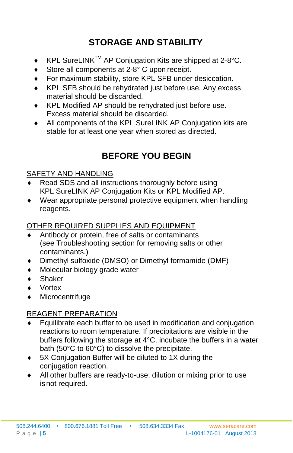## **STORAGE AND STABILITY**

- <span id="page-6-0"></span>KPL SureLINK™ AP Conjugation Kits are shipped at 2-8°C.
- ◆ Store all components at 2-8° C upon receipt.
- For maximum stability, store KPL SFB under desiccation.
- KPL SFB should be rehydrated just before use. Any excess material should be discarded.
- KPL Modified AP should be rehydrated just before use. Excess material should be discarded.
- All components of the KPL SureLINK AP Conjugation kits are stable for at least one year when stored as directed.

## **BEFORE YOU BEGIN**

#### <span id="page-6-1"></span>SAFETY AND HANDLING

- Read SDS and all instructions thoroughly before using KPL SureLINK AP Conjugation Kits or KPL Modified AP.
- Wear appropriate personal protective equipment when handling reagents.

## OTHER REQUIRED SUPPLIES AND EQUIPMENT

- Antibody or protein, free of salts or contaminants (see Troubleshooting section for removing salts or other contaminants.)
- Dimethyl sulfoxide (DMSO) or Dimethyl formamide (DMF)
- Molecular biology grade water
- Shaker
- Vortex
- Microcentrifuge

#### REAGENT PREPARATION

- $\bullet$  Equilibrate each buffer to be used in modification and conjugation reactions to room temperature. If precipitations are visible in the buffers following the storage at 4°C, incubate the buffers in a water bath (50°C to 60°C) to dissolve the precipitate.
- ◆ 5X Conjugation Buffer will be diluted to 1X during the conjugation reaction.
- All other buffers are ready-to-use; dilution or mixing prior to use isnot required.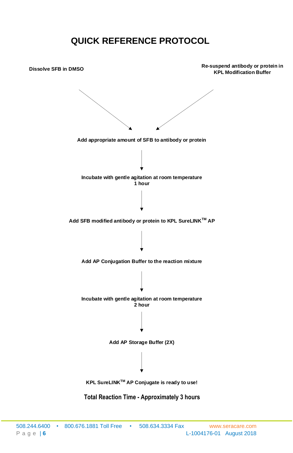## **QUICK REFERENCE PROTOCOL**

<span id="page-7-0"></span>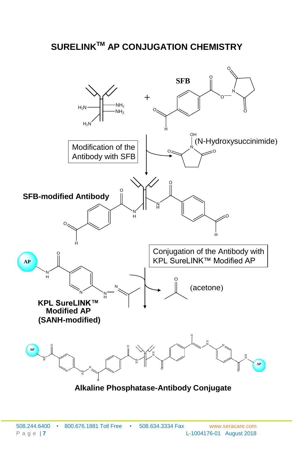## **SURELINKTM AP CONJUGATION CHEMISTRY**



**Alkaline Phosphatase-Antibody Conjugate**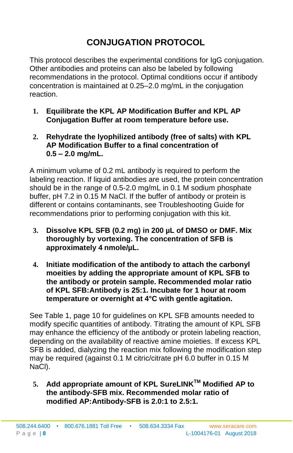## **CONJUGATION PROTOCOL**

<span id="page-9-0"></span>This protocol describes the experimental conditions for IgG conjugation. Other antibodies and proteins can also be labeled by following recommendations in the protocol. Optimal conditions occur if antibody concentration is maintained at 0.25–2.0 mg/mL in the conjugation reaction.

- **1. Equilibrate the KPL AP Modification Buffer and KPL AP Conjugation Buffer at room temperature before use.**
- **2. Rehydrate the lyophilized antibody (free of salts) with KPL AP Modification Buffer to a final concentration of 0.5 – 2.0 mg/mL.**

A minimum volume of 0.2 mL antibody is required to perform the labeling reaction. If liquid antibodies are used, the protein concentration should be in the range of 0.5-2.0 mg/mL in 0.1 M sodium phosphate buffer, pH 7.2 in 0.15 M NaCl. If the buffer of antibody or protein is different or contains contaminants, see Troubleshooting Guide for recommendations prior to performing conjugation with this kit.

- **3. Dissolve KPL SFB (0.2 mg) in 200 µL of DMSO or DMF. Mix thoroughly by vortexing. The concentration of SFB is approximately 4 nmole/µL.**
- **4. Initiate modification of the antibody to attach the carbonyl moeities by adding the appropriate amount of KPL SFB to the antibody or protein sample. Recommended molar ratio of KPL SFB:Antibody is 25:1. Incubate for 1 hour at room temperature or overnight at 4°C with gentle agitation.**

See Table 1, page 10 for guidelines on KPL SFB amounts needed to modify specific quantities of antibody. Titrating the amount of KPL SFB may enhance the efficiency of the antibody or protein labeling reaction, depending on the availability of reactive amine moieties. If excess KPL SFB is added, dialyzing the reaction mix following the modification step may be required (against 0.1 M citric/citrate pH 6.0 buffer in 0.15 M NaCl).

**5. Add appropriate amount of KPL SureLINKTM Modified AP to the antibody-SFB mix. Recommended molar ratio of modified AP:Antibody-SFB is 2.0:1 to 2.5:1.**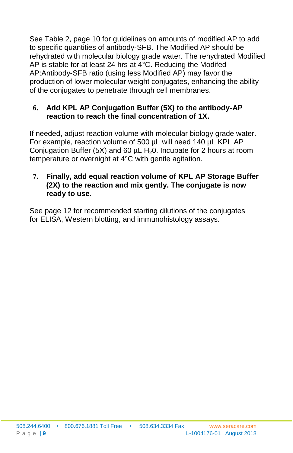See Table 2, page 10 for guidelines on amounts of modified AP to add to specific quantities of antibody-SFB. The Modified AP should be rehydrated with molecular biology grade water. The rehydrated Modified AP is stable for at least 24 hrs at 4°C. Reducing the Modifed AP:Antibody-SFB ratio (using less Modified AP) may favor the production of lower molecular weight conjugates, enhancing the ability of the conjugates to penetrate through cell membranes.

#### **6. Add KPL AP Conjugation Buffer (5X) to the antibody-AP reaction to reach the final concentration of 1X.**

If needed, adjust reaction volume with molecular biology grade water. For example, reaction volume of 500 µL will need 140 µL KPL AP Conjugation Buffer (5X) and 60  $\mu$ L H<sub>2</sub>0. Incubate for 2 hours at room temperature or overnight at 4°C with gentle agitation.

#### **7. Finally, add equal reaction volume of KPL AP Storage Buffer (2X) to the reaction and mix gently. The conjugate is now ready to use.**

See page 12 for recommended starting dilutions of the conjugates for ELISA, Western blotting, and immunohistology assays.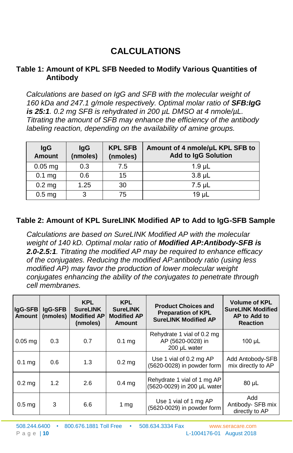## **CALCULATIONS**

#### <span id="page-11-0"></span>**Table 1: Amount of KPL SFB Needed to Modify Various Quantities of Antibody**

*Calculations are based on IgG and SFB with the molecular weight of 160 kDa and 247.1 g/mole respectively. Optimal molar ratio of SFB:IgG is 25:1. 0.2 mg SFB is rehydrated in 200 µL DMSO at 4 nmole/µL. Titrating the amount of SFB may enhance the efficiency of the antibody labeling reaction, depending on the availability of amine groups.*

| <b>IgG</b><br><b>Amount</b> | lgG<br>(nmoles) | <b>KPL SFB</b><br>(nmoles) | Amount of 4 nmole/µL KPL SFB to<br><b>Add to IgG Solution</b> |
|-----------------------------|-----------------|----------------------------|---------------------------------------------------------------|
| $0.05$ mg                   | 0.3             | 7.5                        | $1.9$ µL                                                      |
| $0.1$ mg                    | 0.6             | 15                         | $3.8$ $\mu$                                                   |
| $0.2$ mg                    | 1.25            | 30                         | $7.5$ µL                                                      |
| 0.5 <sub>mg</sub>           | 3               | 75                         | 19 <sub>µ</sub>                                               |

#### **Table 2: Amount of KPL SureLINK Modified AP to Add to IgG-SFB Sample**

*Calculations are based on SureLINK Modified AP with the molecular weight of 140 kD. Optimal molar ratio of Modified AP:Antibody-SFB is 2.0-2.5:1. Titrating the modified AP may be required to enhance efficacy of the conjugates. Reducing the modified AP:antibody ratio (using less modified AP) may favor the production of lower molecular weight conjugates enhancing the ability of the conjugates to penetrate through cell membranes.*

| lgG-SFB<br>Amount | lgG-SFB | <b>KPL</b><br><b>SureLINK</b><br>(nmoles) Modified AP<br>(nmoles) | <b>KPL</b><br><b>SureLINK</b><br><b>Modified AP</b><br>Amount | <b>Product Choices and</b><br><b>Preparation of KPL</b><br><b>SureLINK Modified AP</b> | <b>Volume of KPL</b><br><b>SureLINK Modified</b><br>AP to Add to<br><b>Reaction</b> |
|-------------------|---------|-------------------------------------------------------------------|---------------------------------------------------------------|----------------------------------------------------------------------------------------|-------------------------------------------------------------------------------------|
| $0.05$ mg         | 0.3     | 0.7                                                               | $0.1$ mg                                                      | Rehydrate 1 vial of 0.2 mg<br>AP (5620-0028) in<br>200 µL water                        | $100 \mu L$                                                                         |
| $0.1$ mg          | 0.6     | 1.3                                                               | 0.2 <sub>mg</sub>                                             | Use 1 vial of 0.2 mg AP<br>(5620-0028) in powder form                                  | Add Antobody-SFB<br>mix directly to AP                                              |
| $0.2$ mg          | 1.2     | 2.6                                                               | 0.4 <sub>mg</sub>                                             | Rehydrate 1 vial of 1 mg AP<br>(5620-0029) in 200 µL water                             | $80 \mu L$                                                                          |
| 0.5 <sub>mq</sub> | 3       | 6.6                                                               | 1 mg                                                          | Use 1 vial of 1 mg AP<br>(5620-0029) in powder form                                    | Add<br>Antibody- SFB mix<br>directly to AP                                          |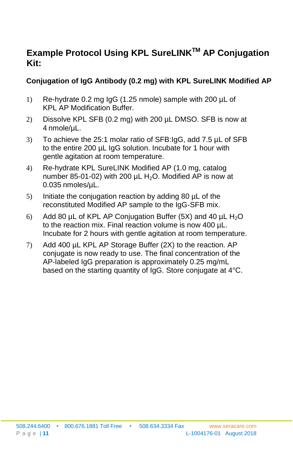## **Example Protocol Using KPL SureLINKTM AP Conjugation Kit:**

#### **Conjugation of IgG Antibody (0.2 mg) with KPL SureLINK Modified AP**

- 1) Re-hydrate 0.2 mg IgG (1.25 nmole) sample with 200 µL of KPL AP Modification Buffer.
- 2) Dissolve KPL SFB (0.2 mg) with 200 µL DMSO. SFB is now at 4 nmole/µL.
- 3) To achieve the 25:1 molar ratio of SFB:IgG, add 7.5 µL of SFB to the entire 200 µL IgG solution. Incubate for 1 hour with gentle agitation at room temperature.
- 4) Re-hydrate KPL SureLINK Modified AP (1.0 mg, catalog number 85-01-02) with 200  $\mu$ L H<sub>2</sub>O. Modified AP is now at 0.035 nmoles/µL.
- 5) Initiate the conjugation reaction by adding 80 µL of the reconstituted Modified AP sample to the IgG-SFB mix.
- 6) Add 80  $\mu$ L of KPL AP Conjugation Buffer (5X) and 40  $\mu$ L H<sub>2</sub>O to the reaction mix. Final reaction volume is now 400 µL. Incubate for 2 hours with gentle agitation at room temperature.
- 7) Add 400 µL KPL AP Storage Buffer (2X) to the reaction. AP conjugate is now ready to use. The final concentration of the AP-labeled IgG preparation is approximately 0.25 mg/mL based on the starting quantity of IgG. Store conjugate at 4°C.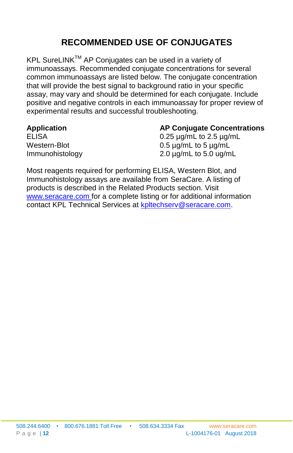## **RECOMMENDED USE OF CONJUGATES**

<span id="page-13-0"></span>KPL SureLINK™ AP Conjugates can be used in a variety of immunoassays. Recommended conjugate concentrations for several common immunoassays are listed below. The conjugate concentration that will provide the best signal to background ratio in your specific assay, may vary and should be determined for each conjugate. Include positive and negative controls in each immunoassay for proper review of experimental results and successful troubleshooting.

#### **Application AP Conjugate Concentrations**

ELISA 0.25 µg/mL to 2.5 µg/mL Western-Blot 0.5 µg/mL to 5 µg/mL Immunohistology 2.0 µg/mL to 5.0 ug/mL

Most reagents required for performing ELISA, Western Blot, and Immunohistology assays are available from SeraCare. A listing of products is described in the Related Products section. Visit [www.seracare.com f](http://www.seracare.com/)or a complete listing or for additional information contact KPL Technical Services at [kpltechserv@seracare.com.](mailto:kpltechserv@seracare.com)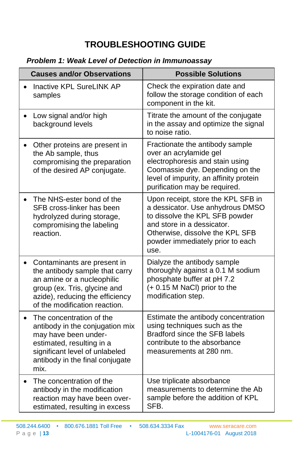## **TROUBLESHOOTING GUIDE**

## <span id="page-14-0"></span>*Problem 1: Weak Level of Detection in Immunoassay*

| <b>Causes and/or Observations</b>                                                                                                                                                               | <b>Possible Solutions</b>                                                                                                                                                                                             |
|-------------------------------------------------------------------------------------------------------------------------------------------------------------------------------------------------|-----------------------------------------------------------------------------------------------------------------------------------------------------------------------------------------------------------------------|
| <b>Inactive KPL SureLINK AP</b><br>samples                                                                                                                                                      | Check the expiration date and<br>follow the storage condition of each<br>component in the kit.                                                                                                                        |
| Low signal and/or high<br>background levels                                                                                                                                                     | Titrate the amount of the conjugate<br>in the assay and optimize the signal<br>to noise ratio.                                                                                                                        |
| Other proteins are present in<br>the Ab sample, thus<br>compromising the preparation<br>of the desired AP conjugate.                                                                            | Fractionate the antibody sample<br>over an acrylamide gel<br>electrophoresis and stain using<br>Coomassie dye. Depending on the<br>level of impurity, an affinity protein<br>purification may be required.            |
| The NHS-ester bond of the<br>SFB cross-linker has been<br>hydrolyzed during storage,<br>compromising the labeling<br>reaction.                                                                  | Upon receipt, store the KPL SFB in<br>a dessicator. Use anhydrous DMSO<br>to dissolve the KPL SFB powder<br>and store in a dessicator.<br>Otherwise, dissolve the KPL SFB<br>powder immediately prior to each<br>use. |
| Contaminants are present in<br>the antibody sample that carry<br>an amine or a nucleophilic<br>group (ex. Tris, glycine and<br>azide), reducing the efficiency<br>of the modification reaction. | Dialyze the antibody sample<br>thoroughly against a 0.1 M sodium<br>phosphate buffer at pH 7.2<br>(+0.15 M NaCl) prior to the<br>modification step.                                                                   |
| The concentration of the<br>antibody in the conjugation mix<br>may have been under-<br>estimated, resulting in a<br>significant level of unlabeled<br>antibody in the final conjugate<br>mix.   | Estimate the antibody concentration<br>using techniques such as the<br>Bradford since the SFB labels<br>contribute to the absorbance<br>measurements at 280 nm.                                                       |
| The concentration of the<br>antibody in the modification<br>reaction may have been over-<br>estimated, resulting in excess                                                                      | Use triplicate absorbance<br>measurements to determine the Ab<br>sample before the addition of KPL<br>SFB.                                                                                                            |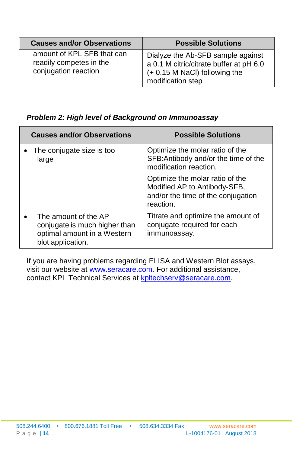| <b>Causes and/or Observations</b>                                             | <b>Possible Solutions</b>                                                                                                          |
|-------------------------------------------------------------------------------|------------------------------------------------------------------------------------------------------------------------------------|
| amount of KPL SFB that can<br>readily competes in the<br>conjugation reaction | Dialyze the Ab-SFB sample against<br>a 0.1 M citric/citrate buffer at pH 6.0<br>(+ 0.15 M NaCl) following the<br>modification step |

#### *Problem 2: High level of Background on Immunoassay*

| <b>Causes and/or Observations</b>                                                                         | <b>Possible Solutions</b>                                                                                          |
|-----------------------------------------------------------------------------------------------------------|--------------------------------------------------------------------------------------------------------------------|
| • The conjugate size is too<br>large                                                                      | Optimize the molar ratio of the<br>SFB: Antibody and/or the time of the<br>modification reaction.                  |
|                                                                                                           | Optimize the molar ratio of the<br>Modified AP to Antibody-SFB,<br>and/or the time of the conjugation<br>reaction. |
| The amount of the AP<br>conjugate is much higher than<br>optimal amount in a Western<br>blot application. | Titrate and optimize the amount of<br>conjugate required for each<br>immunoassay.                                  |

If you are having problems regarding ELISA and Western Blot assays, visit our website at [www.seracare.com.](http://www.seracare.com./) For additional assistance, contact KPL Technical Services at [kpltechserv@seracare.com.](mailto:kpltechserv@seracare.com)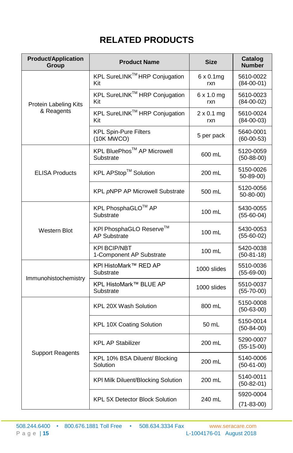## **RELATED PRODUCTS**

<span id="page-16-0"></span>

| <b>Product/Application</b><br>Group | <b>Product Name</b>                             | <b>Size</b>              | Catalog<br><b>Number</b>      |
|-------------------------------------|-------------------------------------------------|--------------------------|-------------------------------|
|                                     | KPL SureLINK™ HRP Conjugation<br>Kit            | $6 \times 0.1$ mg<br>rxn | 5610-0022<br>$(84-00-01)$     |
| Protein Labeling Kits               | KPL SureLINK™ HRP Conjugation<br>Kit            | $6 \times 1.0$ mg<br>rxn | 5610-0023<br>$(84-00-02)$     |
| & Reagents                          | KPL SureLINK™ HRP Conjugation<br>Kit            | $2 \times 0.1$ mg<br>rxn | 5610-0024<br>$(84-00-03)$     |
|                                     | <b>KPL Spin-Pure Filters</b><br>(10K MWCO)      | 5 per pack               | 5640-0001<br>$(60 - 00 - 53)$ |
|                                     | KPL BluePhos™ AP Microwell<br>Substrate         | 600 mL                   | 5120-0059<br>$(50 - 88 - 00)$ |
| <b>ELISA Products</b>               | KPL APStop™ Solution                            | 200 mL                   | 5150-0026<br>$50 - 89 - 00$   |
|                                     | KPL pNPP AP Microwell Substrate                 | 500 mL                   | 5120-0056<br>50-80-00)        |
|                                     | KPL PhosphaGLO™ AP<br>Substrate                 | 100 mL                   | 5430-0055<br>$(55-60-04)$     |
| <b>Western Blot</b>                 | KPI PhosphaGLO Reserve™<br><b>AP Substrate</b>  | 100 mL                   | 5430-0053<br>$(55-60-02)$     |
|                                     | <b>KPI BCIP/NBT</b><br>1-Component AP Substrate | 100 mL                   | 5420-0038<br>$(50-81-18)$     |
| Immunohistochemistry                | KPI HistoMark™ RED AP<br>Substrate              | 1000 slides              | 5510-0036<br>$(55-69-00)$     |
|                                     | KPL HistoMark™ BLUE AP<br>Substrate             | 1000 slides              | 5510-0037<br>$(55 - 70 - 00)$ |
|                                     | KPL 20X Wash Solution                           | 800 mL                   | 5150-0008<br>$(50-63-00)$     |
| <b>Support Reagents</b>             | KPL 10X Coating Solution                        | 50 mL                    | 5150-0014<br>$(50-84-00)$     |
|                                     | <b>KPL AP Stabilizer</b>                        | 200 mL                   | 5290-0007<br>$(55-15-00)$     |
|                                     | KPL 10% BSA Diluent/ Blocking<br>Solution       | 200 mL                   | 5140-0006<br>$(50-61-00)$     |
|                                     | <b>KPI Milk Diluent/Blocking Solution</b>       | 200 mL                   | 5140-0011<br>$(50-82-01)$     |
|                                     | <b>KPL 5X Detector Block Solution</b>           | 240 mL                   | 5920-0004<br>$(71 - 83 - 00)$ |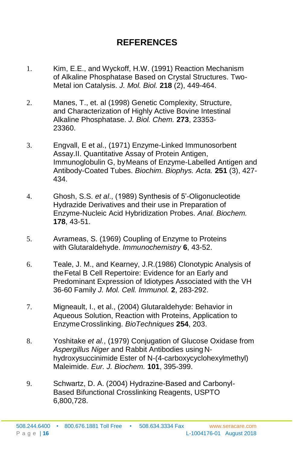## **REFERENCES**

- <span id="page-17-0"></span>1. Kim, E.E., and Wyckoff, H.W. (1991) Reaction Mechanism of Alkaline Phosphatase Based on Crystal Structures. Two-Metal ion Catalysis. *J. Mol. Biol.* **218** (2), 449-464.
- 2. Manes, T., et. al (1998) Genetic Complexity, Structure, and Characterization of Highly Active Bovine Intestinal Alkaline Phosphatase. *J. Biol. Chem.* **273**, 23353- 23360.
- 3. Engvall, E et al., (1971) Enzyme-Linked Immunosorbent Assay.II. Quantitative Assay of Protein Antigen, Immunoglobulin G, byMeans of Enzyme-Labelled Antigen and Antibody-Coated Tubes. *Biochim. Biophys. Acta.* **251** (3), 427- 434.
- 4. Ghosh, S.S. *et al*., (1989) Synthesis of 5'-Oligonucleotide Hydrazide Derivatives and their use in Preparation of Enzyme-Nucleic Acid Hybridization Probes. *Anal. Biochem.*  **178**, 43-51.
- 5. Avrameas, S. (1969) Coupling of Enzyme to Proteins with Glutaraldehyde. *Immunochemistry* **6**, 43-52.
- 6. Teale, J. M., and Kearney, J.R.(1986) Clonotypic Analysis of theFetal B Cell Repertoire: Evidence for an Early and Predominant Expression of Idiotypes Associated with the VH 36-60 Family *J. Mol. Cell. Immunol.* **2**, 283-292.
- 7. Migneault, I., et al., (2004) Glutaraldehyde: Behavior in Aqueous Solution, Reaction with Proteins, Application to EnzymeCrosslinking. *BioTechniques* **254**, 203.
- 8. Yoshitake *et al.*, (1979) Conjugation of Glucose Oxidase from *Aspergillus Niger* and Rabbit Antibodies using Nhydroxysuccinimide Ester of N-(4-carboxycyclohexylmethyl) Maleimide. *Eur. J. Biochem.* **101**, 395-399.
- 9. Schwartz, D. A. (2004) Hydrazine-Based and Carbonyl-Based Bifunctional Crosslinking Reagents, USPTO 6,800,728.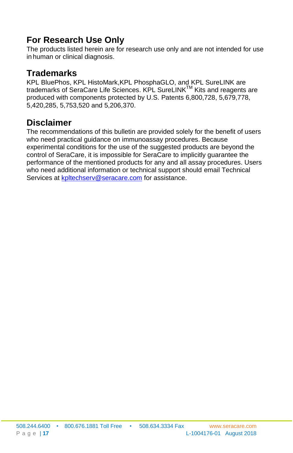## **For Research Use Only**

The products listed herein are for research use only and are not intended for use in human or clinical diagnosis.

## **Trademarks**

KPL BluePhos, KPL HistoMark,KPL PhosphaGLO, and KPL SureLINK are trademarks of SeraCare Life Sciences. KPL SureLINKTM Kits and reagents are produced with components protected by U.S. Patents 6,800,728, 5,679,778, 5,420,285, 5,753,520 and 5,206,370.

## **Disclaimer**

The recommendations of this bulletin are provided solely for the benefit of users who need practical guidance on immunoassay procedures. Because experimental conditions for the use of the suggested products are beyond the control of SeraCare, it is impossible for SeraCare to implicitly guarantee the performance of the mentioned products for any and all assay procedures. Users who need additional information or technical support should email Technical Services at [kpltechserv@seracare.com](mailto:kpltechserv@seracare.com) for assistance.